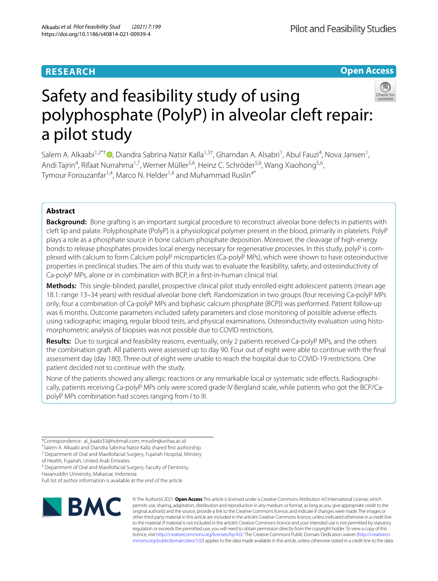## **RESEARCH**

**Open Access**



# Safety and feasibility study of using polyphosphate (PolyP) in alveolar cleft repair: a pilot study

Salem A. Alkaabi<sup>1,2\*†</sup>®[,](http://orcid.org/0000-0001-9450-6413) Diandra Sabrina Natsir Kalla<sup>1,3†</sup>, Ghamdan A. Alsabri<sup>1</sup>, Abul Fauzi<sup>4</sup>, Nova Jansen<sup>1</sup>, Andi Tajrin<sup>4</sup>, Rifaat Nurrahma<sup>1,7</sup>, Werner Müller<sup>5,6</sup>, Heinz C. Schröder<sup>5,6</sup>, Wang Xiaohong<sup>5,6</sup>, Tymour Forouzanfar<sup>1,4</sup>, Marco N. Helder<sup>1,4</sup> and Muhammad Ruslin<sup>4\*</sup>

## **Abstract**

**Background:** Bone grafting is an important surgical procedure to reconstruct alveolar bone defects in patients with cleft lip and palate. Polyphosphate (PolyP) is a physiological polymer present in the blood, primarily in platelets. PolyP plays a role as a phosphate source in bone calcium phosphate deposition. Moreover, the cleavage of high-energy bonds to release phosphates provides local energy necessary for regenerative processes. In this study, polyP is complexed with calcium to form Calcium polyP microparticles (Ca-polyP MPs), which were shown to have osteoinductive properties in preclinical studies. The aim of this study was to evaluate the feasibility, safety, and osteoinductivity of Ca-polyP MPs, alone or in combination with BCP, in a frst-in-human clinical trial.

**Methods:** This single-blinded, parallel, prospective clinical pilot study enrolled eight adolescent patients (mean age 18.1: range 13–34 years) with residual alveolar bone cleft. Randomization in two groups (four receiving Ca-polyP MPs only, four a combination of Ca-polyP MPs and biphasic calcium phosphate (BCP)) was performed. Patient follow-up was 6 months. Outcome parameters included safety parameters and close monitoring of possible adverse efects using radiographic imaging, regular blood tests, and physical examinations. Osteoinductivity evaluation using histomorphometric analysis of biopsies was not possible due to COVID restrictions.

**Results:** Due to surgical and feasibility reasons, eventually, only 2 patients received Ca-polyP MPs, and the others the combination graft. All patients were assessed up to day 90. Four out of eight were able to continue with the fnal assessment day (day 180). Three out of eight were unable to reach the hospital due to COVID-19 restrictions. One patient decided not to continue with the study.

None of the patients showed any allergic reactions or any remarkable local or systematic side efects. Radiographically, patients receiving Ca-polyP MPs only were scored grade IV Bergland scale, while patients who got the BCP/CapolyP MPs combination had scores ranging from I to III.

<sup>4</sup> Department of Oral and Maxillofacial Surgery, Faculty of Dentistry,

Hasanuddin University, Makassar, Indonesia

Full list of author information is available at the end of the article



© The Author(s) 2021. **Open Access** This article is licensed under a Creative Commons Attribution 4.0 International License, which permits use, sharing, adaptation, distribution and reproduction in any medium or format, as long as you give appropriate credit to the original author(s) and the source, provide a link to the Creative Commons licence, and indicate if changes were made. The images or other third party material in this article are included in the article's Creative Commons licence, unless indicated otherwise in a credit line to the material. If material is not included in the article's Creative Commons licence and your intended use is not permitted by statutory regulation or exceeds the permitted use, you will need to obtain permission directly from the copyright holder. To view a copy of this licence, visit [http://creativecommons.org/licenses/by/4.0/.](http://creativecommons.org/licenses/by/4.0/) The Creative Commons Public Domain Dedication waiver ([http://creativeco](http://creativecommons.org/publicdomain/zero/1.0/) [mmons.org/publicdomain/zero/1.0/](http://creativecommons.org/publicdomain/zero/1.0/)) applies to the data made available in this article, unless otherwise stated in a credit line to the data.

<sup>\*</sup>Correspondence: al\_kaabi33@hotmail.com; mruslin@unhas.ac.id

<sup>†</sup> Salem A. Alkaabi and Diandra Sabrina Natsir Kalla shared frst authorship.

<sup>&</sup>lt;sup>2</sup> Department of Oral and Maxillofacial Surgery, Fujairah Hospital, Ministry

of Health, Fujairah, United Arab Emirates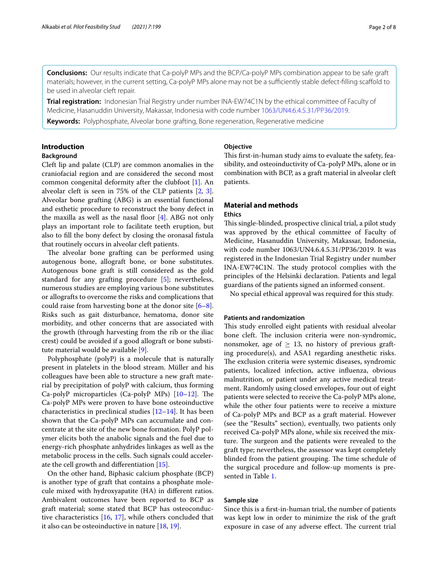**Conclusions:** Our results indicate that Ca-polyP MPs and the BCP/Ca-polyP MPs combination appear to be safe graft materials; however, in the current setting, Ca-polyP MPs alone may not be a sufficiently stable defect-filling scaffold to be used in alveolar cleft repair.

**Trial registration:** Indonesian Trial Registry under number INA-EW74C1N by the ethical committee of Faculty of Medicine, Hasanuddin University, Makassar, Indonesia with code number [1063/UN4.6.4.5.31/PP36/2019.](https://www.ina-registry.org/index.php?act=registry_trial_detail&code_trial=18202010061230EW74C1N)

**Keywords:** Polyphosphate, Alveolar bone grafting, Bone regeneration, Regenerative medicine

## **Introduction**

## **Background**

Cleft lip and palate (CLP) are common anomalies in the craniofacial region and are considered the second most common congenital deformity after the clubfoot [[1](#page-7-0)]. An alveolar cleft is seen in 75% of the CLP patients [\[2](#page-7-1), [3](#page-7-2)]. Alveolar bone grafting (ABG) is an essential functional and esthetic procedure to reconstruct the bony defect in the maxilla as well as the nasal foor [[4\]](#page-7-3). ABG not only plays an important role to facilitate teeth eruption, but also to fll the bony defect by closing the oronasal fstula that routinely occurs in alveolar cleft patients.

The alveolar bone grafting can be performed using autogenous bone, allograft bone, or bone substitutes. Autogenous bone graft is still considered as the gold standard for any grafting procedure [[5\]](#page-7-4); nevertheless, numerous studies are employing various bone substitutes or allografts to overcome the risks and complications that could raise from harvesting bone at the donor site  $[6-8]$  $[6-8]$ . Risks such as gait disturbance, hematoma, donor site morbidity, and other concerns that are associated with the growth (through harvesting from the rib or the iliac crest) could be avoided if a good allograft or bone substitute material would be available [[9](#page-7-7)].

Polyphosphate (polyP) is a molecule that is naturally present in platelets in the blood stream. Müller and his colleagues have been able to structure a new graft material by precipitation of polyP with calcium, thus forming Ca-polyP microparticles (Ca-polyP MPs)  $[10-12]$  $[10-12]$ . The Ca-polyP MPs were proven to have bone osteoinductive characteristics in preclinical studies [[12](#page-7-9)[–14](#page-7-10)]. It has been shown that the Ca-polyP MPs can accumulate and concentrate at the site of the new bone formation. PolyP polymer elicits both the anabolic signals and the fuel due to energy-rich phosphate anhydrides linkages as well as the metabolic process in the cells. Such signals could accelerate the cell growth and diferentiation [\[15](#page-7-11)].

On the other hand, Biphasic calcium phosphate (BCP) is another type of graft that contains a phosphate molecule mixed with hydroxyapatite (HA) in diferent ratios. Ambivalent outcomes have been reported to BCP as graft material; some stated that BCP has osteoconductive characteristics [\[16](#page-7-12), [17\]](#page-7-13), while others concluded that it also can be osteoinductive in nature [[18,](#page-7-14) [19\]](#page-7-15).

## **Objective**

This first-in-human study aims to evaluate the safety, feasibility, and osteoinductivity of Ca-polyP MPs, alone or in combination with BCP, as a graft material in alveolar cleft patients.

## **Material and methods Ethics**

This single-blinded, prospective clinical trial, a pilot study was approved by the ethical committee of Faculty of Medicine, Hasanuddin University, Makassar, Indonesia, with code number 1063/UN4.6.4.5.31/PP36/2019. It was registered in the Indonesian Trial Registry under number INA-EW74C1N. The study protocol complies with the principles of the Helsinki declaration. Patients and legal guardians of the patients signed an informed consent.

No special ethical approval was required for this study.

## **Patients and randomization**

This study enrolled eight patients with residual alveolar bone cleft. The inclusion criteria were non-syndromic, nonsmoker, age of  $\geq$  13, no history of previous grafting procedure(s), and ASA1 regarding anesthetic risks. The exclusion criteria were systemic diseases, syndromic patients, localized infection, active infuenza, obvious malnutrition, or patient under any active medical treatment. Randomly using closed envelopes, four out of eight patients were selected to receive the Ca-polyP MPs alone, while the other four patients were to receive a mixture of Ca-polyP MPs and BCP as a graft material. However (see the "Results" section), eventually, two patients only received Ca-polyP MPs alone, while six received the mixture. The surgeon and the patients were revealed to the graft type; nevertheless, the assessor was kept completely blinded from the patient grouping. The time schedule of the surgical procedure and follow-up moments is presented in Table [1.](#page-2-0)

## **Sample size**

Since this is a frst-in-human trial, the number of patients was kept low in order to minimize the risk of the graft exposure in case of any adverse effect. The current trial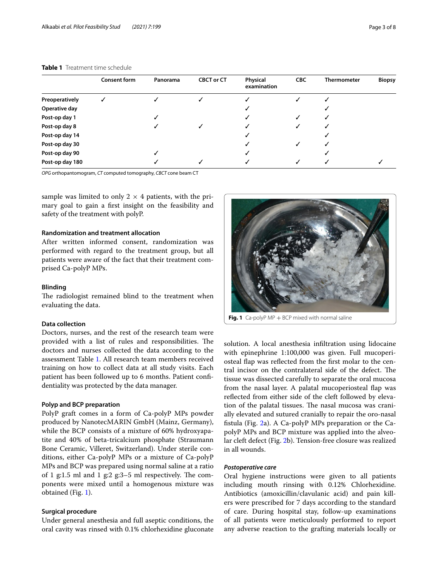|                 | <b>Consent form</b> | Panorama | <b>CBCT or CT</b> | Physical<br>examination | <b>CBC</b> | <b>Thermometer</b> | <b>Biopsy</b> |
|-----------------|---------------------|----------|-------------------|-------------------------|------------|--------------------|---------------|
| Preoperatively  |                     |          |                   |                         |            |                    |               |
| Operative day   |                     |          |                   |                         |            |                    |               |
| Post-op day 1   |                     |          |                   |                         |            |                    |               |
| Post-op day 8   |                     |          |                   |                         |            |                    |               |
| Post-op day 14  |                     |          |                   |                         |            |                    |               |
| Post-op day 30  |                     |          |                   |                         |            |                    |               |
| Post-op day 90  |                     |          |                   |                         |            |                    |               |
| Post-op day 180 |                     |          |                   |                         |            |                    |               |

#### <span id="page-2-0"></span>**Table 1** Treatment time schedule

*OPG* orthopantomogram, *CT* computed tomography, *CBCT* cone beam CT

sample was limited to only  $2 \times 4$  patients, with the primary goal to gain a frst insight on the feasibility and safety of the treatment with polyP.

## **Randomization and treatment allocation**

After written informed consent, randomization was performed with regard to the treatment group, but all patients were aware of the fact that their treatment comprised Ca-polyP MPs.

#### **Blinding**

The radiologist remained blind to the treatment when evaluating the data.

## **Data collection**

Doctors, nurses, and the rest of the research team were provided with a list of rules and responsibilities. The doctors and nurses collected the data according to the assessment Table [1](#page-2-0). All research team members received training on how to collect data at all study visits. Each patient has been followed up to 6 months. Patient confdentiality was protected by the data manager.

## **Polyp and BCP preparation**

PolyP graft comes in a form of Ca-polyP MPs powder produced by NanotecMARIN GmbH (Mainz, Germany), while the BCP consists of a mixture of 60% hydroxyapatite and 40% of beta-tricalcium phosphate (Straumann Bone Ceramic, Villeret, Switzerland). Under sterile conditions, either Ca-polyP MPs or a mixture of Ca-polyP MPs and BCP was prepared using normal saline at a ratio of 1 g:1.5 ml and 1 g:2 g:3–5 ml respectively. The components were mixed until a homogenous mixture was obtained (Fig. [1](#page-2-1)).

#### **Surgical procedure**

Under general anesthesia and full aseptic conditions, the oral cavity was rinsed with 0.1% chlorhexidine gluconate



<span id="page-2-1"></span>solution. A local anesthesia infltration using lidocaine with epinephrine 1:100,000 was given. Full mucoperiosteal fap was refected from the frst molar to the central incisor on the contralateral side of the defect. The tissue was dissected carefully to separate the oral mucosa from the nasal layer. A palatal mucoperiosteal fap was refected from either side of the cleft followed by elevation of the palatal tissues. The nasal mucosa was cranially elevated and sutured cranially to repair the oro-nasal fstula (Fig. [2a](#page-3-0)). A Ca-polyP MPs preparation or the CapolyP MPs and BCP mixture was applied into the alveolar cleft defect (Fig. [2](#page-3-0)b). Tension-free closure was realized in all wounds.

#### *Postoperative care*

Oral hygiene instructions were given to all patients including mouth rinsing with 0.12% Chlorhexidine. Antibiotics (amoxicillin/clavulanic acid) and pain killers were prescribed for 7 days according to the standard of care. During hospital stay, follow-up examinations of all patients were meticulously performed to report any adverse reaction to the grafting materials locally or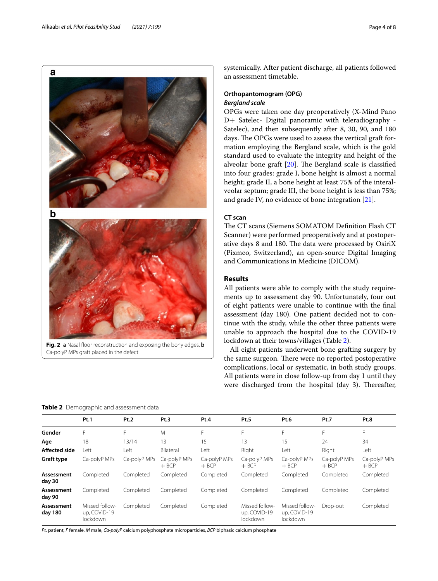

<span id="page-3-0"></span>Ca-polyP MPs graft placed in the defect

systemically. After patient discharge, all patients followed an assessment timetable.

## **Orthopantomogram (OPG)** *Bergland scale*

OPGs were taken one day preoperatively (X-Mind Pano D+ Satelec- Digital panoramic with teleradiography - Satelec), and then subsequently after 8, 30, 90, and 180 days. The OPGs were used to assess the vertical graft formation employing the Bergland scale, which is the gold standard used to evaluate the integrity and height of the alveolar bone graft  $[20]$  $[20]$ . The Bergland scale is classified into four grades: grade I, bone height is almost a normal height; grade II, a bone height at least 75% of the interalveolar septum; grade III, the bone height is less than 75%; and grade IV, no evidence of bone integration [[21\]](#page-7-17).

## **CT scan**

The CT scans (Siemens SOMATOM Definition Flash CT Scanner) were performed preoperatively and at postoperative days 8 and 180. The data were processed by OsiriX (Pixmeo, Switzerland), an open-source Digital Imaging and Communications in Medicine (DICOM).

#### **Results**

All patients were able to comply with the study requirements up to assessment day 90. Unfortunately, four out of eight patients were unable to continue with the fnal assessment (day 180). One patient decided not to continue with the study, while the other three patients were unable to approach the hospital due to the COVID-19 lockdown at their towns/villages (Table [2\)](#page-3-1).

All eight patients underwent bone grafting surgery by the same surgeon. There were no reported postoperative complications, local or systematic, in both study groups. All patients were in close follow-up from day 1 until they were discharged from the hospital (day 3). Thereafter,

<span id="page-3-1"></span>**Table 2** Demographic and assessment data

|                       | Pt.1                                       | Pt.2         | Pt.3                    | Pt.4                    | Pt.5                                       | Pt.6                                       | Pt.7                    | Pt.8                    |
|-----------------------|--------------------------------------------|--------------|-------------------------|-------------------------|--------------------------------------------|--------------------------------------------|-------------------------|-------------------------|
| Gender                | F                                          | F            | M                       | F                       | F                                          | F                                          | F                       | F                       |
| Age                   | 18                                         | 13/14        | 13                      | 15                      | 13                                         | 15                                         | 24                      | 34                      |
| <b>Affected side</b>  | Left                                       | Left         | Bilateral               | Left                    | Right                                      | Left                                       | Right                   | Left                    |
| <b>Graft type</b>     | Ca-polyP MPs                               | Ca-polyP MPs | Ca-polyP MPs<br>$+$ BCP | Ca-polyP MPs<br>$+$ BCP | Ca-polyP MPs<br>$+$ BCP                    | Ca-polyP MPs<br>$+$ BCP                    | Ca-polyP MPs<br>$+$ BCP | Ca-polyP MPs<br>$+$ BCP |
| Assessment<br>day 30  | Completed                                  | Completed    | Completed               | Completed               | Completed                                  | Completed                                  | Completed               | Completed               |
| Assessment<br>day 90  | Completed                                  | Completed    | Completed               | Completed               | Completed                                  | Completed                                  | Completed               | Completed               |
| Assessment<br>day 180 | Missed follow-<br>up, COVID-19<br>lockdown | Completed    | Completed               | Completed               | Missed follow-<br>up, COVID-19<br>lockdown | Missed follow-<br>up, COVID-19<br>lockdown | Drop-out                | Completed               |

*Pt.* patient, *F* female, *M* male, *Ca-polyP* calcium polyphosphate microparticles, *BCP* biphasic calcium phosphate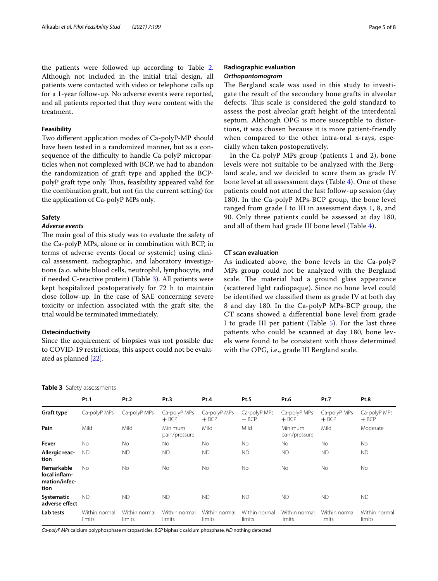#### **Feasibility**

Two diferent application modes of Ca-polyP-MP should have been tested in a randomized manner, but as a consequence of the difficulty to handle Ca-polyP microparticles when not complexed with BCP, we had to abandon the randomization of graft type and applied the BCPpolyP graft type only. Thus, feasibility appeared valid for the combination graft, but not (in the current setting) for the application of Ca-polyP MPs only.

#### **Safety**

#### *Adverse events*

The main goal of this study was to evaluate the safety of the Ca-polyP MPs, alone or in combination with BCP, in terms of adverse events (local or systemic) using clinical assessment, radiographic, and laboratory investigations (a.o. white blood cells, neutrophil, lymphocyte, and if needed C-reactive protein) (Table [3](#page-4-0)). All patients were kept hospitalized postoperatively for 72 h to maintain close follow-up. In the case of SAE concerning severe toxicity or infection associated with the graft site, the trial would be terminated immediately.

## **Osteoinductivity**

Since the acquirement of biopsies was not possible due to COVID-19 restrictions, this aspect could not be evaluated as planned [[22\]](#page-7-18).

<span id="page-4-0"></span>

| Table 3 Safety assessments |  |
|----------------------------|--|
|----------------------------|--|

## **Radiographic evaluation** *Orthopantomogram*

The Bergland scale was used in this study to investigate the result of the secondary bone grafts in alveolar defects. This scale is considered the gold standard to assess the post alveolar graft height of the interdental septum. Although OPG is more susceptible to distortions, it was chosen because it is more patient-friendly when compared to the other intra-oral x-rays, especially when taken postoperatively.

In the Ca-polyP MPs group (patients 1 and 2), bone levels were not suitable to be analyzed with the Bergland scale, and we decided to score them as grade IV bone level at all assessment days (Table [4](#page-5-0)). One of these patients could not attend the last follow-up session (day 180). In the Ca-polyP MPs-BCP group, the bone level ranged from grade I to III in assessment days 1, 8, and 90. Only three patients could be assessed at day 180, and all of them had grade III bone level (Table [4\)](#page-5-0).

## **CT scan evaluation**

As indicated above, the bone levels in the Ca-polyP MPs group could not be analyzed with the Bergland scale. The material had a ground glass appearance (scattered light radiopaque). Since no bone level could be identifed we classifed them as grade IV at both day 8 and day 180. In the Ca-polyP MPs-BCP group, the CT scans showed a diferential bone level from grade I to grade III per patient (Table [5\)](#page-5-1). For the last three patients who could be scanned at day 180, bone levels were found to be consistent with those determined with the OPG, i.e., grade III Bergland scale.

|                                                      | Pt.1                    | Pt.2                    | Pt.3                     | Pt.4                    | Pt.5                    | Pt.6                     | Pt.7                    | Pt.8                    |
|------------------------------------------------------|-------------------------|-------------------------|--------------------------|-------------------------|-------------------------|--------------------------|-------------------------|-------------------------|
| Graft type                                           | Ca-polyP MPs            | Ca-polyP MPs            | Ca-polyP MPs<br>$+$ BCP  | Ca-polyP MPs<br>$+$ BCP | Ca-polyP MPs<br>$+$ BCP | Ca-polyP MPs<br>$+$ BCP  | Ca-polyP MPs<br>$+$ BCP | Ca-polyP MPs<br>$+$ BCP |
| Pain                                                 | Mild                    | Mild                    | Minimum<br>pain/pressure | Mild                    | Mild                    | Minimum<br>pain/pressure | Mild                    | Moderate                |
| Fever                                                | <b>No</b>               | <b>No</b>               | No.                      | <b>No</b>               | <b>No</b>               | <b>No</b>                | <b>No</b>               | <b>No</b>               |
| Allergic reac-<br>tion                               | ND.                     | <b>ND</b>               | <b>ND</b>                | <b>ND</b>               | <b>ND</b>               | <b>ND</b>                | <b>ND</b>               | <b>ND</b>               |
| Remarkable<br>local inflam-<br>mation/infec-<br>tion | No.                     | <b>No</b>               | <b>No</b>                | <b>No</b>               | No                      | <b>No</b>                | <b>No</b>               | <b>No</b>               |
| Systematic<br>adverse effect                         | ND.                     | <b>ND</b>               | <b>ND</b>                | <b>ND</b>               | <b>ND</b>               | <b>ND</b>                | <b>ND</b>               | <b>ND</b>               |
| Lab tests                                            | Within normal<br>limits | Within normal<br>limits | Within normal<br>limits  | Within normal<br>limits | Within normal<br>limits | Within normal<br>limits  | Within normal<br>limits | Within normal<br>limits |

*Ca-polyP MPs* calcium polyphosphate microparticles, *BCP* biphasic calcium phosphate, *ND* nothing detected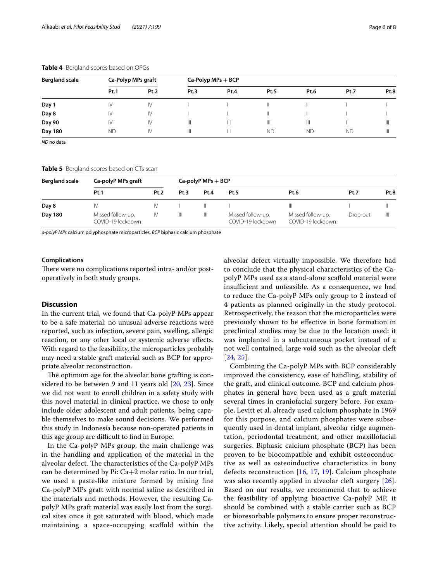| <b>Bergland scale</b> | Ca-Polyp MPs graft |               | $Ca-Polyp MPs + BCP$ |      |           |              |             |      |  |
|-----------------------|--------------------|---------------|----------------------|------|-----------|--------------|-------------|------|--|
|                       | Pt.1               | Pt.2          | Pt.3                 | Pt.4 | Pt.5      | Pt.6         | <b>Pt.7</b> | Pt.8 |  |
| Day 1                 | IV                 | IV            |                      |      | Ш         |              |             |      |  |
| Day 8                 | IV                 | IV            |                      |      | Ш         |              |             |      |  |
| Day 90                | IV                 | IV            | Ш                    | Ш    | Ш         | $\mathbb{H}$ |             | Ш    |  |
| Day 180               | <b>ND</b>          | $\mathsf{IV}$ | Ш                    | Ш    | <b>ND</b> | <b>ND</b>    | <b>ND</b>   | Ш    |  |

#### <span id="page-5-0"></span>**Table 4** Bergland scores based on OPGs

*ND* no data

<span id="page-5-1"></span>**Table 5** Bergland scores based on CTs scan

| <b>Bergland scale</b> | Ca-polyP MPs graft                     | $Ca$ -polyP MPs $+$ BCP |      |              |                                        |                                        |          |              |
|-----------------------|----------------------------------------|-------------------------|------|--------------|----------------------------------------|----------------------------------------|----------|--------------|
|                       | Pt.1                                   | <b>Pt.2</b>             | Pt.3 | Pt.4         | <b>Pt.5</b>                            | Pt.6                                   | Pt.7     | Pt.8         |
| Day 8                 |                                        | IV                      |      |              |                                        | Ш                                      |          |              |
| Day 180               | Missed follow-up,<br>COVID-19 lockdown | IV                      | Ш    | $\mathbb{H}$ | Missed follow-up,<br>COVID-19 lockdown | Missed follow-up,<br>COVID-19 lockdown | Drop-out | $\mathbb{H}$ |

*a-polyP MPs* calcium polyphosphate microparticles, *BCP* biphasic calcium phosphate

#### **Complications**

There were no complications reported intra- and/or postoperatively in both study groups.

#### **Discussion**

In the current trial, we found that Ca-polyP MPs appear to be a safe material: no unusual adverse reactions were reported, such as infection, severe pain, swelling, allergic reaction, or any other local or systemic adverse efects. With regard to the feasibility, the microparticles probably may need a stable graft material such as BCP for appropriate alveolar reconstruction.

The optimum age for the alveolar bone grafting is considered to be between 9 and 11 years old [[20,](#page-7-16) [23](#page-7-19)]. Since we did not want to enroll children in a safety study with this novel material in clinical practice, we chose to only include older adolescent and adult patients, being capable themselves to make sound decisions. We performed this study in Indonesia because non-operated patients in this age group are difficult to find in Europe.

In the Ca-polyP MPs group, the main challenge was in the handling and application of the material in the alveolar defect. The characteristics of the Ca-polyP MPs can be determined by Pi: Ca+2 molar ratio. In our trial, we used a paste-like mixture formed by mixing fne Ca-polyP MPs graft with normal saline as described in the materials and methods. However, the resulting CapolyP MPs graft material was easily lost from the surgical sites once it got saturated with blood, which made maintaining a space-occupying scafold within the alveolar defect virtually impossible. We therefore had to conclude that the physical characteristics of the CapolyP MPs used as a stand-alone scafold material were insufficient and unfeasible. As a consequence, we had to reduce the Ca-polyP MPs only group to 2 instead of 4 patients as planned originally in the study protocol. Retrospectively, the reason that the microparticles were previously shown to be efective in bone formation in preclinical studies may be due to the location used: it was implanted in a subcutaneous pocket instead of a not well contained, large void such as the alveolar cleft [[24](#page-7-20), [25](#page-7-21)].

Combining the Ca-polyP MPs with BCP considerably improved the consistency, ease of handling, stability of the graft, and clinical outcome. BCP and calcium phosphates in general have been used as a graft material several times in craniofacial surgery before. For example, Levitt et al. already used calcium phosphate in 1969 for this purpose, and calcium phosphates were subsequently used in dental implant, alveolar ridge augmentation, periodontal treatment, and other maxillofacial surgeries. Biphasic calcium phosphate (BCP) has been proven to be biocompatible and exhibit osteoconductive as well as osteoinductive characteristics in bony defects reconstruction [\[16,](#page-7-12) [17](#page-7-13), [19\]](#page-7-15). Calcium phosphate was also recently applied in alveolar cleft surgery [[26](#page-7-22)]. Based on our results, we recommend that to achieve the feasibility of applying bioactive Ca-polyP MP, it should be combined with a stable carrier such as BCP or bioresorbable polymers to ensure proper reconstructive activity. Likely, special attention should be paid to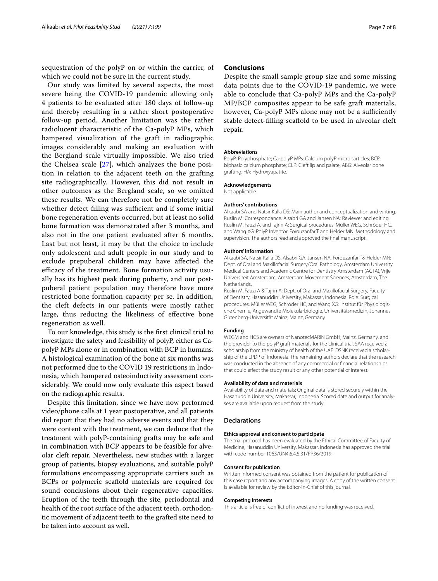sequestration of the polyP on or within the carrier, of which we could not be sure in the current study.

Our study was limited by several aspects, the most severe being the COVID-19 pandemic allowing only 4 patients to be evaluated after 180 days of follow-up and thereby resulting in a rather short postoperative follow-up period. Another limitation was the rather radiolucent characteristic of the Ca-polyP MPs, which hampered visualization of the graft in radiographic images considerably and making an evaluation with the Bergland scale virtually impossible. We also tried the Chelsea scale [[27\]](#page-7-23), which analyzes the bone position in relation to the adjacent teeth on the grafting site radiographically. However, this did not result in other outcomes as the Bergland scale, so we omitted these results. We can therefore not be completely sure whether defect filling was sufficient and if some initial bone regeneration events occurred, but at least no solid bone formation was demonstrated after 3 months, and also not in the one patient evaluated after 6 months. Last but not least, it may be that the choice to include only adolescent and adult people in our study and to exclude prepuberal children may have afected the efficacy of the treatment. Bone formation activity usually has its highest peak during puberty, and our postpuberal patient population may therefore have more restricted bone formation capacity per se. In addition, the cleft defects in our patients were mostly rather large, thus reducing the likeliness of efective bone regeneration as well.

To our knowledge, this study is the frst clinical trial to investigate the safety and feasibility of polyP, either as CapolyP MPs alone or in combination with BCP in humans. A histological examination of the bone at six months was not performed due to the COVID 19 restrictions in Indonesia, which hampered osteoinductivity assessment considerably. We could now only evaluate this aspect based on the radiographic results.

Despite this limitation, since we have now performed video/phone calls at 1 year postoperative, and all patients did report that they had no adverse events and that they were content with the treatment, we can deduce that the treatment with polyP-containing grafts may be safe and in combination with BCP appears to be feasible for alveolar cleft repair. Nevertheless, new studies with a larger group of patients, biopsy evaluations, and suitable polyP formulations encompassing appropriate carriers such as BCPs or polymeric scafold materials are required for sound conclusions about their regenerative capacities. Eruption of the teeth through the site, periodontal and health of the root surface of the adjacent teeth, orthodontic movement of adjacent teeth to the grafted site need to be taken into account as well.

## **Conclusions**

Despite the small sample group size and some missing data points due to the COVID-19 pandemic, we were able to conclude that Ca-polyP MPs and the Ca-polyP MP/BCP composites appear to be safe graft materials, however, Ca-polyP MPs alone may not be a sufficiently stable defect-flling scafold to be used in alveolar cleft repair.

#### **Abbreviations**

PolyP: Polyphosphate; Ca-polyP MPs: Calcium polyP microparticles; BCP: biphasic calcium phosphate; CLP: Cleft lip and palate; ABG: Alveolar bone grafting; HA: Hydroxyapatite.

#### **Acknowledgements**

Not applicable.

#### **Authors' contributions**

Alkaabi SA and Natsir Kalla DS: Main author and conceptualization and writing. Ruslin M: Correspondance. Alsabri GA and Jansen NA: Reviewer and editing. Ruslin M, Fauzi A, and Tajrin A: Surgical procedures. Müller WEG, Schröder HC, and Wang XG: PolyP Inventor. Forouzanfar T and Helder MN: Methodology and supervision. The authors read and approved the fnal manuscript.

#### **Authors' information**

Alkaabi SA, Natsir Kalla DS, Alsabri GA, Jansen NA, Forouzanfar T& Helder MN: Dept. of Oral and Maxillofacial Surgery/Oral Pathology, Amsterdam University Medical Centers and Academic Centre for Dentistry Amsterdam (ACTA), Vrije Universiteit Amsterdam, Amsterdam Movement Sciences, Amsterdam, The **Netherlands** 

Ruslin M, Fauzi A & Tajrin A: Dept. of Oral and Maxillofacial Surgery, Faculty of Dentistry, Hasanuddin University, Makassar, Indonesia. Role: Surgical procedures. Müller WEG, Schröder HC, and Wang XG: Institut für Physiologische Chemie, Angewandte Molekularbiologie, Universitätsmedizin, Johannes Gutenberg-Universität Mainz, Mainz, Germany.

#### **Funding**

WEGM and HCS are owners of NanotecMARIN GmbH, Mainz, Germany, and the provider to the polyP graft materials for the clinical trial. SAA received a scholarship from the ministry of health of the UAE. DSNK received a scholarship of the LPDP of Indonesia. The remaining authors declare that the research was conducted in the absence of any commercial or fnancial relationships that could afect the study result or any other potential of interest.

#### **Availability of data and materials**

Availability of data and materials: Original data is stored securely within the Hasanuddin University, Makassar, Indonesia. Scored date and output for analyses are available upon request from the study.

#### **Declarations**

#### **Ethics approval and consent to participate**

The trial protocol has been evaluated by the Ethical Committee of Faculty of Medicine, Hasanuddin University, Makassar, Indonesia has approved the trial with code number 1063/UN4.6.4.5.31/PP36/2019.

#### **Consent for publication**

Written informed consent was obtained from the patient for publication of this case report and any accompanying images. A copy of the written consent is available for review by the Editor-in-Chief of this journal.

#### **Competing interests**

This article is free of confict of interest and no funding was received.